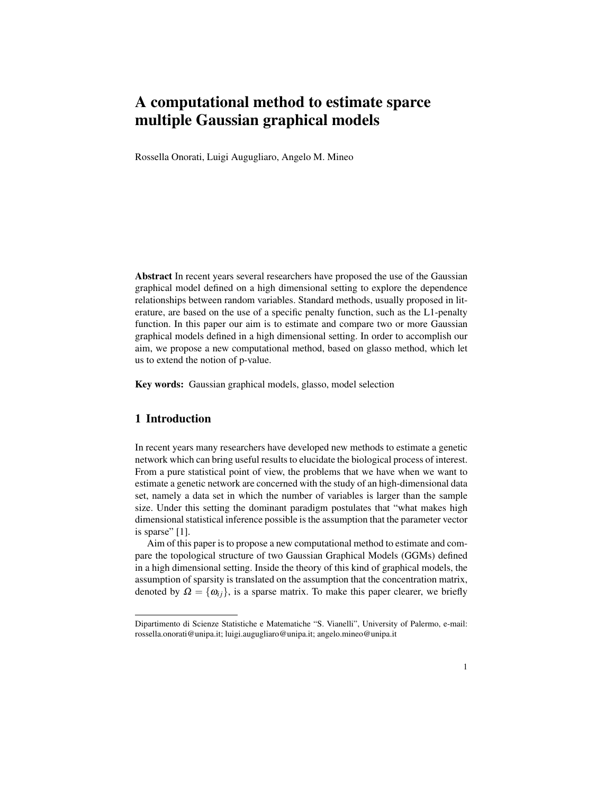# A computational method to estimate sparce multiple Gaussian graphical models

Rossella Onorati, Luigi Augugliaro, Angelo M. Mineo

Abstract In recent years several researchers have proposed the use of the Gaussian graphical model defined on a high dimensional setting to explore the dependence relationships between random variables. Standard methods, usually proposed in literature, are based on the use of a specific penalty function, such as the L1-penalty function. In this paper our aim is to estimate and compare two or more Gaussian graphical models defined in a high dimensional setting. In order to accomplish our aim, we propose a new computational method, based on glasso method, which let us to extend the notion of p-value.

Key words: Gaussian graphical models, glasso, model selection

## 1 Introduction

In recent years many researchers have developed new methods to estimate a genetic network which can bring useful results to elucidate the biological process of interest. From a pure statistical point of view, the problems that we have when we want to estimate a genetic network are concerned with the study of an high-dimensional data set, namely a data set in which the number of variables is larger than the sample size. Under this setting the dominant paradigm postulates that "what makes high dimensional statistical inference possible is the assumption that the parameter vector is sparse" [1].

Aim of this paper is to propose a new computational method to estimate and compare the topological structure of two Gaussian Graphical Models (GGMs) defined in a high dimensional setting. Inside the theory of this kind of graphical models, the assumption of sparsity is translated on the assumption that the concentration matrix, denoted by  $\Omega = {\omega_{ij}}$ , is a sparse matrix. To make this paper clearer, we briefly

Dipartimento di Scienze Statistiche e Matematiche "S. Vianelli", University of Palermo, e-mail: rossella.onorati@unipa.it; luigi.augugliaro@unipa.it; angelo.mineo@unipa.it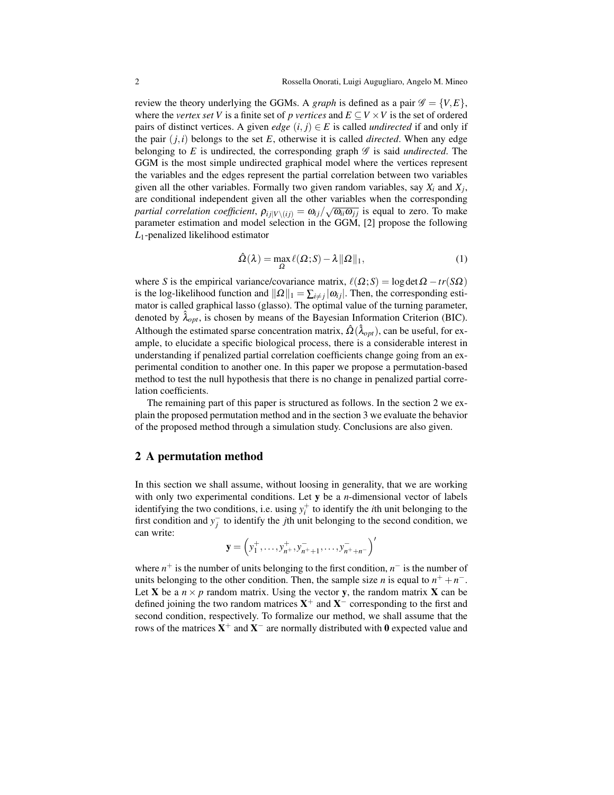review the theory underlying the GGMs. A *graph* is defined as a pair  $\mathcal{G} = \{V, E\}$ , where the *vertex set V* is a finite set of *p vertices* and  $E \subseteq V \times V$  is the set of ordered pairs of distinct vertices. A given *edge*  $(i, j) \in E$  is called *undirected* if and only if the pair  $(i,i)$  belongs to the set E, otherwise it is called *directed*. When any edge belonging to  $E$  is undirected, the corresponding graph  $\mathscr G$  is said *undirected*. The GGM is the most simple undirected graphical model where the vertices represent the variables and the edges represent the partial correlation between two variables given all the other variables. Formally two given random variables, say  $X_i$  and  $X_j$ , are conditional independent given all the other variables when the corresponding *partial correlation coefficient*,  $\rho_{ij|V\setminus(ij)} = \omega_{ij}/\sqrt{\omega_{ii}\omega_{jj}}$  is equal to zero. To make parameter estimation and model selection in the GGM, [2] propose the following *L*1-penalized likelihood estimator

$$
\hat{\Omega}(\lambda) = \max_{\Omega} \ell(\Omega; S) - \lambda ||\Omega||_1,
$$
\n(1)

where *S* is the empirical variance/covariance matrix,  $\ell(\Omega; S) = \log \det \Omega - tr(S\Omega)$ is the log-likelihood function and  $\|\Omega\|_1 = \sum_{i \neq j} |\omega_{ij}|$ . Then, the corresponding estimator is called graphical lasso (glasso). The optimal value of the turning parameter, denoted by  $\lambda_{opt}$ , is chosen by means of the Bayesian Information Criterion (BIC). Although the estimated sparse concentration matrix,  $\hat{\Omega}(\hat{\lambda}_{opt})$ , can be useful, for example, to elucidate a specific biological process, there is a considerable interest in understanding if penalized partial correlation coefficients change going from an experimental condition to another one. In this paper we propose a permutation-based method to test the null hypothesis that there is no change in penalized partial correlation coefficients.

The remaining part of this paper is structured as follows. In the section 2 we explain the proposed permutation method and in the section 3 we evaluate the behavior of the proposed method through a simulation study. Conclusions are also given.

#### 2 A permutation method

In this section we shall assume, without loosing in generality, that we are working with only two experimental conditions. Let y be a *n*-dimensional vector of labels identifying the two conditions, i.e. using  $y_i^+$  to identify the *i*th unit belonging to the first condition and  $y_j^-$  to identify the *j*th unit belonging to the second condition, we can write:

$$
\mathbf{y} = \left( y_1^+, \dots, y_{n+1}^+, y_{n+1}^-, \dots, y_{n+1}^- \right)'
$$

where  $n^+$  is the number of units belonging to the first condition,  $n^-$  is the number of units belonging to the other condition. Then, the sample size *n* is equal to  $n^+ + n^-$ . Let **X** be a  $n \times p$  random matrix. Using the vector **y**, the random matrix **X** can be defined joining the two random matrices  $X^+$  and  $X^-$  corresponding to the first and second condition, respectively. To formalize our method, we shall assume that the rows of the matrices  $X^+$  and  $X^-$  are normally distributed with 0 expected value and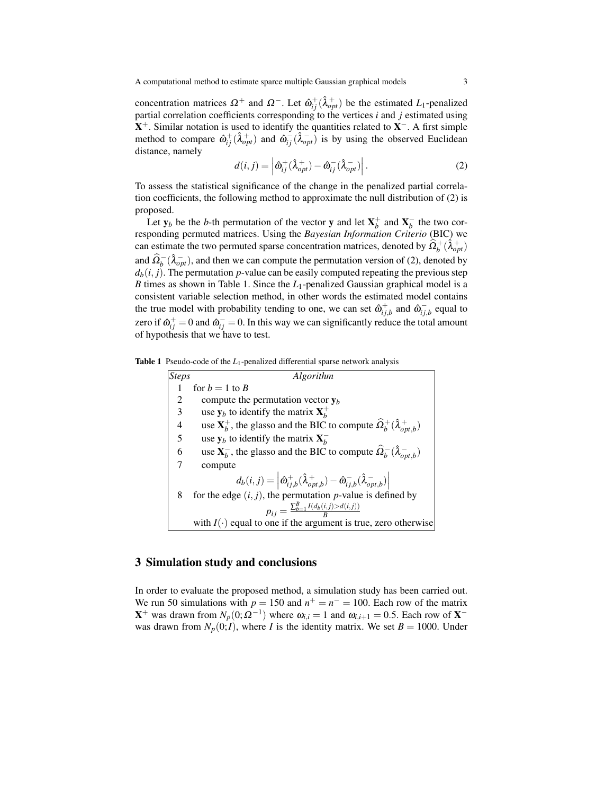concentration matrices  $\Omega^+$  and  $\Omega^-$ . Let  $\hat{\omega}_{ij}^+(\hat{\lambda}_{opt}^+)$  be the estimated *L*<sub>1</sub>-penalized partial correlation coefficients corresponding to the vertices *i* and *j* estimated using  $X^+$ . Similar notation is used to identify the quantities related to  $X^-$ . A first simple method to compare  $\hat{\omega}_{ij}^+(\hat{\lambda}_{opt}^+)$  and  $\hat{\omega}_{ij}^-(\hat{\lambda}_{opt}^-)$  is by using the observed Euclidean distance, namely

$$
d(i,j) = \left| \hat{\omega}_{ij}^+(\hat{\lambda}_{opt}^+) - \hat{\omega}_{ij}^-(\hat{\lambda}_{opt}^-) \right|.
$$
 (2)

To assess the statistical significance of the change in the penalized partial correlation coefficients, the following method to approximate the null distribution of (2) is proposed.

Let  $y_b$  be the *b*-th permutation of the vector y and let  $X_b^+$  and  $X_b^-$  the two corresponding permuted matrices. Using the *Bayesian Information Criterio* (BIC) we can estimate the two permuted sparse concentration matrices, denoted by  $\widehat{\Omega}_{b}^{+}(\hat{\lambda}_{opt}^{+})$ and  $\hat{Q}_b^-(\hat{\lambda}_{opt}^-)$ , and then we can compute the permutation version of (2), denoted by  $d_b(i, j)$ . The permutation *p*-value can be easily computed repeating the previous step *B* times as shown in Table 1. Since the *L*<sub>1</sub>-penalized Gaussian graphical model is a consistent variable selection method, in other words the estimated model contains the true model with probability tending to one, we can set  $\hat{\omega}_{ij,b}^{+}$  and  $\hat{\omega}_{ij,b}^{-}$  equal to zero if  $\hat{\omega}_{ij}^+ = 0$  and  $\hat{\omega}_{ij}^- = 0$ . In this way we can significantly reduce the total amount of hypothesis that we have to test.

| <b>Table 1</b> Pseudo-code of the $L_1$ -penalized differential sparse network analysis |  |
|-----------------------------------------------------------------------------------------|--|
|-----------------------------------------------------------------------------------------|--|

| <i><b>Steps</b></i> | Algorithm                                                                                                                   |
|---------------------|-----------------------------------------------------------------------------------------------------------------------------|
|                     | for $b = 1$ to B                                                                                                            |
| $\mathfrak{D}$      | compute the permutation vector $y_b$                                                                                        |
| 3                   | use $y_b$ to identify the matrix $X_b^+$                                                                                    |
| 4                   | use $X_h^+$ , the glasso and the BIC to compute $\widehat{\Omega}_h^+ (\widehat{\lambda}_{outh}^+)$                         |
| 5                   | use $y_b$ to identify the matrix $X_b^-$                                                                                    |
| 6                   | use $X_b^-$ , the glasso and the BIC to compute $\widehat{\Omega}_h^-(\widehat{\lambda}_{\text{out }h}^-)$                  |
|                     | compute                                                                                                                     |
|                     | $d_b(i,j) = \left  \hat{\omega}_{ij,b}^+(\hat{\lambda}_{opt,b}^+) - \hat{\omega}_{ij,b}^-(\hat{\lambda}_{opt,b}^-) \right $ |
| 8                   | for the edge $(i, j)$ , the permutation p-value is defined by                                                               |
|                     | $p_{i i} = \frac{\sum_{b=1}^{B} I(d_b(i,j) > d(i,j))}{P}$                                                                   |
|                     | with $I(\cdot)$ equal to one if the argument is true, zero otherwise                                                        |

### 3 Simulation study and conclusions

In order to evaluate the proposed method, a simulation study has been carried out. We run 50 simulations with  $p = 150$  and  $n^+ = n^- = 100$ . Each row of the matrix **X**<sup>+</sup> was drawn from  $N_p(0; \Omega^{-1})$  where  $ω_{i,i} = 1$  and  $ω_{i,i+1} = 0.5$ . Each row of **X**<sup>-</sup> was drawn from  $N_p(0;I)$ , where *I* is the identity matrix. We set  $B = 1000$ . Under